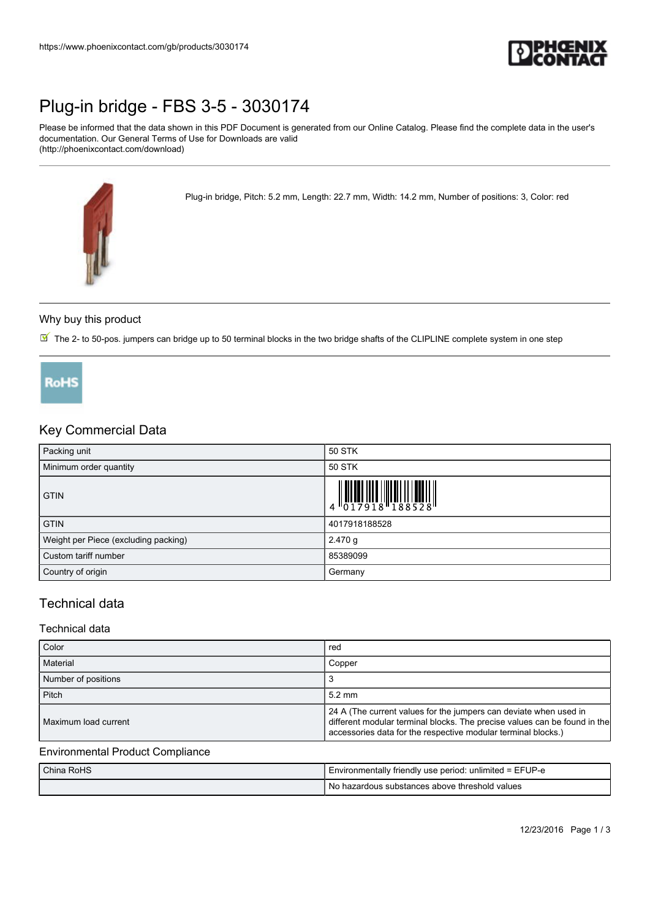

# [Plug-in bridge - FBS 3-5 - 3030174](https://www.phoenixcontact.com/gb/products/3030174)

Please be informed that the data shown in this PDF Document is generated from our Online Catalog. Please find the complete data in the user's documentation. Our General Terms of Use for Downloads are valid (http://phoenixcontact.com/download)

Plug-in bridge, Pitch: 5.2 mm, Length: 22.7 mm, Width: 14.2 mm, Number of positions: 3, Color: red



## Why buy this product

 $\overline{\mathbb{M}}$  The 2- to 50-pos. jumpers can bridge up to 50 terminal blocks in the two bridge shafts of the CLIPLINE complete system in one step



## Key Commercial Data

| Packing unit                         | 50 STK                                                                                                                                                                                                                                                                                                                         |
|--------------------------------------|--------------------------------------------------------------------------------------------------------------------------------------------------------------------------------------------------------------------------------------------------------------------------------------------------------------------------------|
| Minimum order quantity               | 50 STK                                                                                                                                                                                                                                                                                                                         |
| <b>GTIN</b>                          | $\begin{array}{c} 1 & 0 & 0 & 0 \\ 0 & 1 & 0 & 1 \\ 0 & 1 & 0 & 1 \\ 0 & 0 & 1 & 0 \\ 0 & 0 & 0 & 0 \\ 0 & 0 & 0 & 0 \\ 0 & 0 & 0 & 0 \\ 0 & 0 & 0 & 0 \\ 0 & 0 & 0 & 0 \\ 0 & 0 & 0 & 0 \\ 0 & 0 & 0 & 0 \\ 0 & 0 & 0 & 0 & 0 \\ 0 & 0 & 0 & 0 & 0 \\ 0 & 0 & 0 & 0 & 0 \\ 0 & 0 & 0 & 0 & 0 & 0 \\ 0 & 0 & 0 & 0 & 0 & 0 \\$ |
| <b>GTIN</b>                          | 4017918188528                                                                                                                                                                                                                                                                                                                  |
| Weight per Piece (excluding packing) | 2.470 g                                                                                                                                                                                                                                                                                                                        |
| Custom tariff number                 | 85389099                                                                                                                                                                                                                                                                                                                       |
| Country of origin                    | Germany                                                                                                                                                                                                                                                                                                                        |

## Technical data

### Technical data

| Color                | red                                                                                                                                                                                                             |
|----------------------|-----------------------------------------------------------------------------------------------------------------------------------------------------------------------------------------------------------------|
| Material             | Copper                                                                                                                                                                                                          |
| Number of positions  |                                                                                                                                                                                                                 |
| Pitch                | $5.2 \text{ mm}$                                                                                                                                                                                                |
| Maximum load current | 24 A (The current values for the jumpers can deviate when used in<br>different modular terminal blocks. The precise values can be found in the<br>accessories data for the respective modular terminal blocks.) |

#### Environmental Product Compliance

| China RoHS | Environmentally friendly use period: unlimited = EFUP-e |
|------------|---------------------------------------------------------|
|            | I No hazardous substances above threshold values        |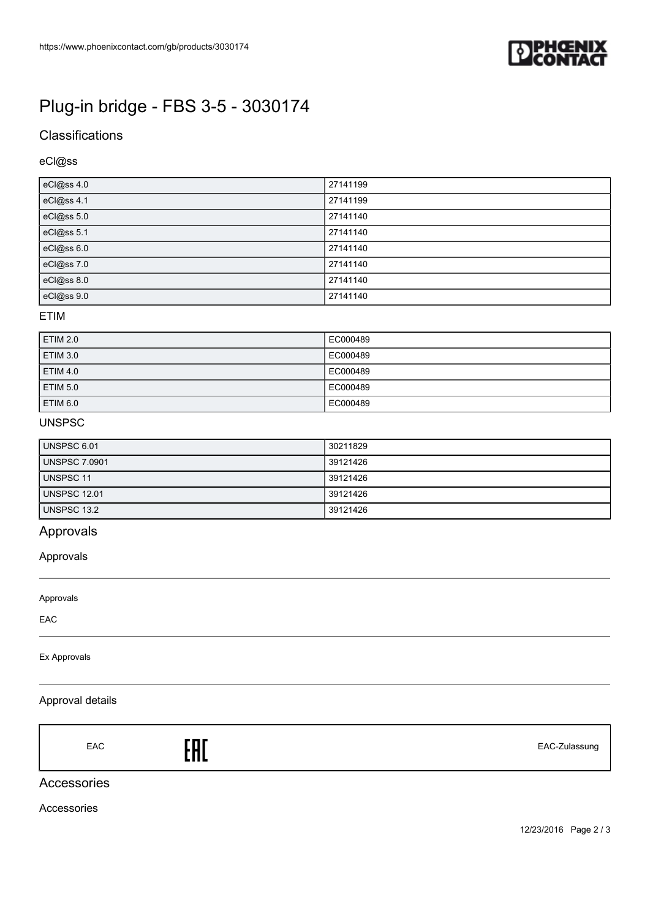

# [Plug-in bridge - FBS 3-5 - 3030174](https://www.phoenixcontact.com/gb/products/3030174)

# **Classifications**

# eCl@ss

| eCl@ss 4.0 | 27141199 |
|------------|----------|
| eCl@ss 4.1 | 27141199 |
| eCl@ss 5.0 | 27141140 |
| eCl@ss 5.1 | 27141140 |
| eCl@ss 6.0 | 27141140 |
| eCl@ss 7.0 | 27141140 |
| eCl@ss 8.0 | 27141140 |
| eCl@ss 9.0 | 27141140 |

#### ETIM

| <b>ETIM 2.0</b> | EC000489 |
|-----------------|----------|
| <b>ETIM 3.0</b> | EC000489 |
| <b>ETIM 4.0</b> | EC000489 |
| <b>ETIM 5.0</b> | EC000489 |
| <b>ETIM 6.0</b> | EC000489 |

## UNSPSC

| UNSPSC 6.01          | 30211829 |
|----------------------|----------|
| <b>UNSPSC 7.0901</b> | 39121426 |
| UNSPSC 11            | 39121426 |
| <b>UNSPSC 12.01</b>  | 39121426 |
| UNSPSC 13.2          | 39121426 |

# Approvals

## Approvals

Approvals

EAC

#### Ex Approvals

## Approval details

EAC EAC-Zulassung

## Accessories

Accessories